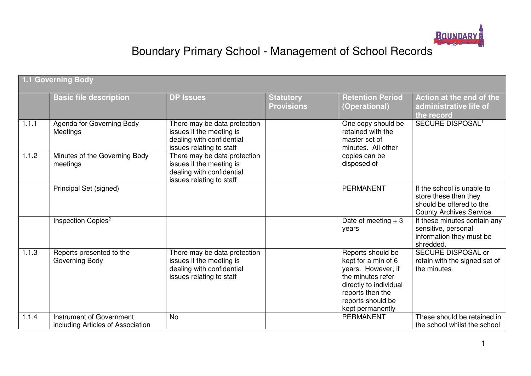

# Boundary Primary School - Management of School Records

|       | <b>1.1 Governing Body</b>                                     |                                                                                                                   |                                       |                                                                                                                                                                            |                                                                                                                   |  |  |  |
|-------|---------------------------------------------------------------|-------------------------------------------------------------------------------------------------------------------|---------------------------------------|----------------------------------------------------------------------------------------------------------------------------------------------------------------------------|-------------------------------------------------------------------------------------------------------------------|--|--|--|
|       | <b>Basic file description</b>                                 | <b>DP Issues</b>                                                                                                  | <b>Statutory</b><br><b>Provisions</b> | <b>Retention Period</b><br>(Operational)                                                                                                                                   | Action at the end of the<br>administrative life of<br>the record                                                  |  |  |  |
| 1.1.1 | Agenda for Governing Body<br>Meetings                         | There may be data protection<br>issues if the meeting is<br>dealing with confidential<br>issues relating to staff |                                       | One copy should be<br>retained with the<br>master set of<br>minutes. All other                                                                                             | <b>SECURE DISPOSAL<sup>1</sup></b>                                                                                |  |  |  |
| 1.1.2 | Minutes of the Governing Body<br>meetings                     | There may be data protection<br>issues if the meeting is<br>dealing with confidential<br>issues relating to staff |                                       | copies can be<br>disposed of                                                                                                                                               |                                                                                                                   |  |  |  |
|       | Principal Set (signed)                                        |                                                                                                                   |                                       | <b>PERMANENT</b>                                                                                                                                                           | If the school is unable to<br>store these then they<br>should be offered to the<br><b>County Archives Service</b> |  |  |  |
|       | Inspection Copies <sup>2</sup>                                |                                                                                                                   |                                       | Date of meeting $+3$<br>years                                                                                                                                              | If these minutes contain any<br>sensitive, personal<br>information they must be<br>shredded.                      |  |  |  |
| 1.1.3 | Reports presented to the<br>Governing Body                    | There may be data protection<br>issues if the meeting is<br>dealing with confidential<br>issues relating to staff |                                       | Reports should be<br>kept for a min of 6<br>years. However, if<br>the minutes refer<br>directly to individual<br>reports then the<br>reports should be<br>kept permanently | SECURE DISPOSAL or<br>retain with the signed set of<br>the minutes                                                |  |  |  |
| 1.1.4 | Instrument of Government<br>including Articles of Association | <b>No</b>                                                                                                         |                                       | <b>PERMANENT</b>                                                                                                                                                           | These should be retained in<br>the school whilst the school                                                       |  |  |  |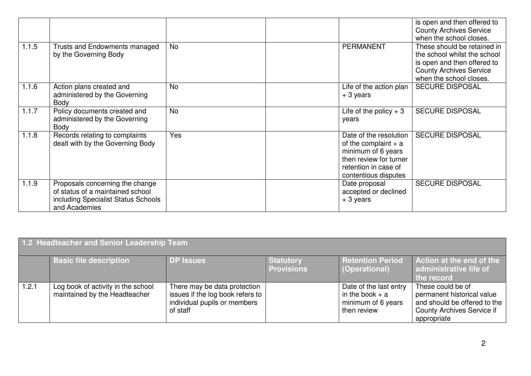|       |                                                                                                                             |           |                                                                                                                                                  | is open and then offered to<br><b>County Archives Service</b><br>when the school closes.                                                                |
|-------|-----------------------------------------------------------------------------------------------------------------------------|-----------|--------------------------------------------------------------------------------------------------------------------------------------------------|---------------------------------------------------------------------------------------------------------------------------------------------------------|
| 1.1.5 | Trusts and Endowments managed<br>by the Governing Body                                                                      | <b>No</b> | <b>PERMANENT</b>                                                                                                                                 | These should be retained in<br>the school whilst the school<br>is open and then offered to<br><b>County Archives Service</b><br>when the school closes. |
| 1.1.6 | Action plans created and<br>administered by the Governing<br>Body                                                           | <b>No</b> | Life of the action plan<br>$+3$ years                                                                                                            | <b>SECURE DISPOSAL</b>                                                                                                                                  |
| 1.1.7 | Policy documents created and<br>administered by the Governing<br>Body                                                       | <b>No</b> | Life of the policy $+3$<br>years                                                                                                                 | <b>SECURE DISPOSAL</b>                                                                                                                                  |
| 1.1.8 | Records relating to complaints<br>dealt with by the Governing Body                                                          | Yes       | Date of the resolution<br>of the complaint $+$ a<br>minimum of 6 years<br>then review for turner<br>retention in case of<br>contentious disputes | <b>SECURE DISPOSAL</b>                                                                                                                                  |
| 1.1.9 | Proposals concerning the change<br>of status of a maintained school<br>including Specialist Status Schools<br>and Academies |           | Date proposal<br>accepted or declined<br>$+3$ years                                                                                              | <b>SECURE DISPOSAL</b>                                                                                                                                  |

| 1.2 Headteacher and Senior Leadership Team |                                                                     |                                                                                                              |                                       |                                                                                  |                                                                                                                                     |  |  |
|--------------------------------------------|---------------------------------------------------------------------|--------------------------------------------------------------------------------------------------------------|---------------------------------------|----------------------------------------------------------------------------------|-------------------------------------------------------------------------------------------------------------------------------------|--|--|
|                                            | <b>Basic file description</b>                                       | DP Issues                                                                                                    | <b>Statutory</b><br><b>Provisions</b> | <b>Retention Period</b><br>(Operational)                                         | Action at the end of the<br>administrative life of<br>the record                                                                    |  |  |
| 1.2.1                                      | Log book of activity in the school<br>maintained by the Headteacher | There may be data protection<br>issues if the log book refers to<br>individual pupils or members<br>of staff |                                       | Date of the last entry<br>in the book $+$ a<br>minimum of 6 years<br>then review | These could be of<br>permanent historical value<br>and should be offered to the<br><b>County Archives Service if</b><br>appropriate |  |  |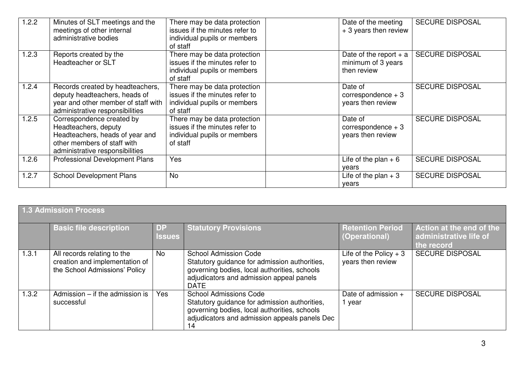| 1.2.2 | Minutes of SLT meetings and the<br>meetings of other internal<br>administrative bodies                                                                 | There may be data protection<br>issues if the minutes refer to<br>individual pupils or members<br>of staff | Date of the meeting<br>+ 3 years then review                  | <b>SECURE DISPOSAL</b> |
|-------|--------------------------------------------------------------------------------------------------------------------------------------------------------|------------------------------------------------------------------------------------------------------------|---------------------------------------------------------------|------------------------|
| 1.2.3 | Reports created by the<br>Headteacher or SLT                                                                                                           | There may be data protection<br>issues if the minutes refer to<br>individual pupils or members<br>of staff | Date of the report $+$ a<br>minimum of 3 years<br>then review | <b>SECURE DISPOSAL</b> |
| 1.2.4 | Records created by headteachers,<br>deputy headteachers, heads of<br>year and other member of staff with<br>administrative responsibilities            | There may be data protection<br>issues if the minutes refer to<br>individual pupils or members<br>of staff | Date of<br>correspondence $+3$<br>years then review           | <b>SECURE DISPOSAL</b> |
| 1.2.5 | Correspondence created by<br>Headteachers, deputy<br>Headteachers, heads of year and<br>other members of staff with<br>administrative responsibilities | There may be data protection<br>issues if the minutes refer to<br>individual pupils or members<br>of staff | Date of<br>correspondence $+3$<br>years then review           | <b>SECURE DISPOSAL</b> |
| 1.2.6 | <b>Professional Development Plans</b>                                                                                                                  | Yes                                                                                                        | Life of the plan $+6$<br>years                                | <b>SECURE DISPOSAL</b> |
| 1.2.7 | <b>School Development Plans</b>                                                                                                                        | <b>No</b>                                                                                                  | Life of the plan $+3$<br>years                                | <b>SECURE DISPOSAL</b> |

|       | 1.3 Admission Process                                                                          |                            |                                                                                                                                                                                          |                                              |                                                                  |  |  |  |  |
|-------|------------------------------------------------------------------------------------------------|----------------------------|------------------------------------------------------------------------------------------------------------------------------------------------------------------------------------------|----------------------------------------------|------------------------------------------------------------------|--|--|--|--|
|       | <b>Basic file description</b>                                                                  | <b>DP</b><br><b>Issues</b> | <b>Statutory Provisions</b>                                                                                                                                                              | <b>Retention Period</b><br>(Operational)     | Action at the end of the<br>administrative life of<br>the record |  |  |  |  |
| 1.3.1 | All records relating to the<br>creation and implementation of<br>the School Admissions' Policy | <b>No</b>                  | <b>School Admission Code</b><br>Statutory guidance for admission authorities,<br>governing bodies, local authorities, schools<br>adjudicators and admission appeal panels<br><b>DATE</b> | Life of the Policy $+3$<br>years then review | <b>SECURE DISPOSAL</b>                                           |  |  |  |  |
| 1.3.2 | Admission $-$ if the admission is<br>successful                                                | Yes                        | <b>School Admissions Code</b><br>Statutory guidance for admission authorities,<br>governing bodies, local authorities, schools<br>adjudicators and admission appeals panels Dec<br>14    | Date of admission +<br>year                  | <b>SECURE DISPOSAL</b>                                           |  |  |  |  |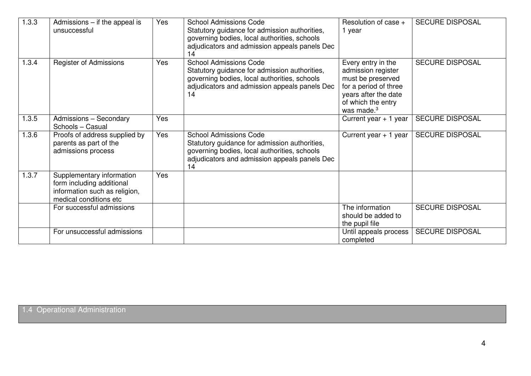| 1.3.3 | Admissions $-$ if the appeal is<br>unsuccessful                                                                   | Yes | <b>School Admissions Code</b><br>Statutory guidance for admission authorities,<br>governing bodies, local authorities, schools<br>adjudicators and admission appeals panels Dec<br>14 | Resolution of case +<br>1 year                                                                                                                        | <b>SECURE DISPOSAL</b> |
|-------|-------------------------------------------------------------------------------------------------------------------|-----|---------------------------------------------------------------------------------------------------------------------------------------------------------------------------------------|-------------------------------------------------------------------------------------------------------------------------------------------------------|------------------------|
| 1.3.4 | <b>Register of Admissions</b>                                                                                     | Yes | <b>School Admissions Code</b><br>Statutory guidance for admission authorities,<br>governing bodies, local authorities, schools<br>adjudicators and admission appeals panels Dec<br>14 | Every entry in the<br>admission register<br>must be preserved<br>for a period of three<br>years after the date<br>of which the entry<br>was made. $3$ | <b>SECURE DISPOSAL</b> |
| 1.3.5 | Admissions - Secondary<br>Schools - Casual                                                                        | Yes |                                                                                                                                                                                       | Current year $+1$ year                                                                                                                                | <b>SECURE DISPOSAL</b> |
| 1.3.6 | Proofs of address supplied by<br>parents as part of the<br>admissions process                                     | Yes | <b>School Admissions Code</b><br>Statutory guidance for admission authorities,<br>governing bodies, local authorities, schools<br>adjudicators and admission appeals panels Dec<br>14 | Current year $+1$ year                                                                                                                                | <b>SECURE DISPOSAL</b> |
| 1.3.7 | Supplementary information<br>form including additional<br>information such as religion,<br>medical conditions etc | Yes |                                                                                                                                                                                       |                                                                                                                                                       |                        |
|       | For successful admissions                                                                                         |     |                                                                                                                                                                                       | The information<br>should be added to<br>the pupil file                                                                                               | <b>SECURE DISPOSAL</b> |
|       | For unsuccessful admissions                                                                                       |     |                                                                                                                                                                                       | Until appeals process<br>completed                                                                                                                    | <b>SECURE DISPOSAL</b> |

1.4 Operational Administration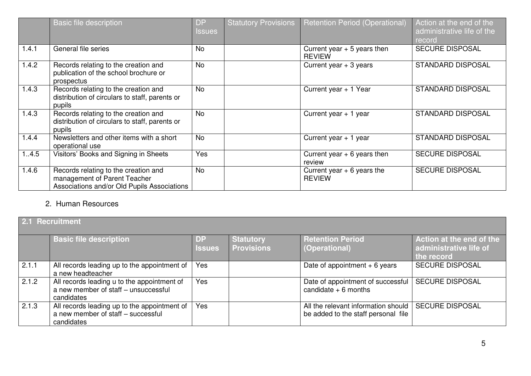|       | Basic file description                                                                                              | <b>DP</b><br><b>Issues</b> | <b>Statutory Provisions</b> | <b>Retention Period (Operational)</b>         | Action at the end of the<br>administrative life of the<br>record |
|-------|---------------------------------------------------------------------------------------------------------------------|----------------------------|-----------------------------|-----------------------------------------------|------------------------------------------------------------------|
| 1.4.1 | General file series                                                                                                 | <b>No</b>                  |                             | Current year $+5$ years then<br><b>REVIEW</b> | <b>SECURE DISPOSAL</b>                                           |
| 1.4.2 | Records relating to the creation and<br>publication of the school brochure or<br>prospectus                         | <b>No</b>                  |                             | Current year $+3$ years                       | <b>STANDARD DISPOSAL</b>                                         |
| 1.4.3 | Records relating to the creation and<br>distribution of circulars to staff, parents or<br>pupils                    | <b>No</b>                  |                             | Current year + 1 Year                         | <b>STANDARD DISPOSAL</b>                                         |
| 1.4.3 | Records relating to the creation and<br>distribution of circulars to staff, parents or<br>pupils                    | <b>No</b>                  |                             | Current year $+1$ year                        | <b>STANDARD DISPOSAL</b>                                         |
| 1.4.4 | Newsletters and other items with a short<br>operational use                                                         | <b>No</b>                  |                             | Current year + 1 year                         | <b>STANDARD DISPOSAL</b>                                         |
| 1.4.5 | Visitors' Books and Signing in Sheets                                                                               | Yes                        |                             | Current year $+ 6$ years then<br>review       | <b>SECURE DISPOSAL</b>                                           |
| 1.4.6 | Records relating to the creation and<br>management of Parent Teacher<br>Associations and/or Old Pupils Associations | <b>No</b>                  |                             | Current year $+ 6$ years the<br><b>REVIEW</b> | <b>SECURE DISPOSAL</b>                                           |

#### 2. Human Resources

| 2.1 Recruitment |                                                                                                   |                            |                                       |                                                                            |                                                                  |  |  |
|-----------------|---------------------------------------------------------------------------------------------------|----------------------------|---------------------------------------|----------------------------------------------------------------------------|------------------------------------------------------------------|--|--|
|                 | <b>Basic file description</b>                                                                     | <b>DP</b><br><b>Issues</b> | <b>Statutory</b><br><b>Provisions</b> | <b>Retention Period</b><br>(Operational)                                   | Action at the end of the<br>administrative life of<br>the record |  |  |
| 2.1.1           | All records leading up to the appointment of<br>a new headteacher                                 | Yes                        |                                       | Date of appointment $+6$ years                                             | <b>SECURE DISPOSAL</b>                                           |  |  |
| 2.1.2           | All records leading u to the appointment of<br>a new member of staff - unsuccessful<br>candidates | <b>Yes</b>                 |                                       | Date of appointment of successful<br>candidate $+6$ months                 | <b>SECURE DISPOSAL</b>                                           |  |  |
| 2.1.3           | All records leading up to the appointment of<br>a new member of staff - successful<br>candidates  | Yes                        |                                       | All the relevant information should<br>be added to the staff personal file | <b>SECURE DISPOSAL</b>                                           |  |  |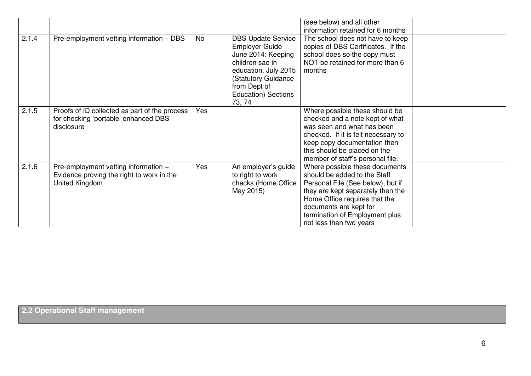|       |                                                                                                     |           |                                                                                                                                                                                             | (see below) and all other<br>information retained for 6 months                                                                                                                                                                                                   |  |
|-------|-----------------------------------------------------------------------------------------------------|-----------|---------------------------------------------------------------------------------------------------------------------------------------------------------------------------------------------|------------------------------------------------------------------------------------------------------------------------------------------------------------------------------------------------------------------------------------------------------------------|--|
| 2.1.4 | Pre-employment vetting information - DBS                                                            | <b>No</b> | <b>DBS Update Service</b><br><b>Employer Guide</b><br>June 2014: Keeping<br>children sae in<br>education. July 2015<br>(Statutory Guidance<br>from Dept of<br>Education) Sections<br>73, 74 | The school does not have to keep<br>copies of DBS Certificates. If the<br>school does so the copy must<br>NOT be retained for more than 6<br>months                                                                                                              |  |
| 2.1.5 | Proofs of ID collected as part of the process<br>for checking 'portable' enhanced DBS<br>disclosure | Yes       |                                                                                                                                                                                             | Where possible these should be<br>checked and a note kept of what<br>was seen and what has been<br>checked. If it is felt necessary to<br>keep copy documentation then<br>this should be placed on the<br>member of staff's personal file.                       |  |
| 2.1.6 | Pre-employment vetting information -<br>Evidence proving the right to work in the<br>United Kingdom | Yes       | An employer's guide<br>to right to work<br>checks (Home Office<br>May 2015)                                                                                                                 | Where possible these documents<br>should be added to the Staff<br>Personal File (See below), but if<br>they are kept separately then the<br>Home Office requires that the<br>documents are kept for<br>termination of Employment plus<br>not less than two years |  |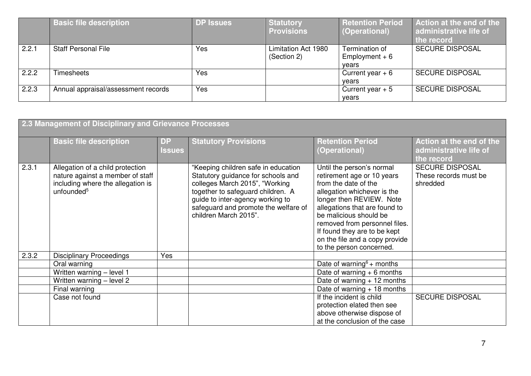|       | <b>Basic file description</b>       | <b>DP Issues</b> | <b>Statutory</b><br><b>Provisions</b> | <b>Retention Period</b><br>(Operational)   | Action at the end of the<br>administrative life of<br>the record |
|-------|-------------------------------------|------------------|---------------------------------------|--------------------------------------------|------------------------------------------------------------------|
| 2.2.1 | <b>Staff Personal File</b>          | Yes              | Limitation Act 1980<br>(Section 2)    | Termination of<br>Employment $+6$<br>vears | <b>SECURE DISPOSAL</b>                                           |
| 2.2.2 | Timesheets                          | <b>Yes</b>       |                                       | Current year $+6$<br>vears                 | <b>SECURE DISPOSAL</b>                                           |
| 2.2.3 | Annual appraisal/assessment records | Yes              |                                       | Current year $+5$<br>vears                 | <b>SECURE DISPOSAL</b>                                           |

| 2.3 Management of Disciplinary and Grievance Processes |                                                                                                                                     |                            |                                                                                                                                                                                                                                                       |                                                                                                                                                                                                                                                                                                                                      |                                                                  |  |  |
|--------------------------------------------------------|-------------------------------------------------------------------------------------------------------------------------------------|----------------------------|-------------------------------------------------------------------------------------------------------------------------------------------------------------------------------------------------------------------------------------------------------|--------------------------------------------------------------------------------------------------------------------------------------------------------------------------------------------------------------------------------------------------------------------------------------------------------------------------------------|------------------------------------------------------------------|--|--|
|                                                        | <b>Basic file description</b>                                                                                                       | <b>DP</b><br><b>Issues</b> | <b>Statutory Provisions</b>                                                                                                                                                                                                                           | <b>Retention Period</b><br>(Operational)                                                                                                                                                                                                                                                                                             | Action at the end of the<br>administrative life of<br>the record |  |  |
| 2.3.1                                                  | Allegation of a child protection<br>nature against a member of staff<br>including where the allegation is<br>unfounded <sup>5</sup> |                            | "Keeping children safe in education<br>Statutory guidance for schools and<br>colleges March 2015", "Working<br>together to safeguard children. A<br>quide to inter-agency working to<br>safeguard and promote the welfare of<br>children March 2015". | Until the person's normal<br>retirement age or 10 years<br>from the date of the<br>allegation whichever is the<br>longer then REVIEW. Note<br>allegations that are found to<br>be malicious should be<br>removed from personnel files.<br>If found they are to be kept<br>on the file and a copy provide<br>to the person concerned. | <b>SECURE DISPOSAL</b><br>These records must be<br>shredded      |  |  |
| 2.3.2                                                  | <b>Disciplinary Proceedings</b>                                                                                                     | Yes                        |                                                                                                                                                                                                                                                       |                                                                                                                                                                                                                                                                                                                                      |                                                                  |  |  |
|                                                        | Oral warning                                                                                                                        |                            |                                                                                                                                                                                                                                                       | Date of warning <sup>6</sup> + months                                                                                                                                                                                                                                                                                                |                                                                  |  |  |
|                                                        | Written warning - level 1                                                                                                           |                            |                                                                                                                                                                                                                                                       | Date of warning $+ 6$ months                                                                                                                                                                                                                                                                                                         |                                                                  |  |  |
|                                                        | Written warning - level 2                                                                                                           |                            |                                                                                                                                                                                                                                                       | Date of warning $+12$ months                                                                                                                                                                                                                                                                                                         |                                                                  |  |  |
|                                                        | Final warning                                                                                                                       |                            |                                                                                                                                                                                                                                                       | Date of warning $+18$ months                                                                                                                                                                                                                                                                                                         |                                                                  |  |  |
|                                                        | Case not found                                                                                                                      |                            |                                                                                                                                                                                                                                                       | If the incident is child<br>protection elated then see<br>above otherwise dispose of<br>at the conclusion of the case                                                                                                                                                                                                                | <b>SECURE DISPOSAL</b>                                           |  |  |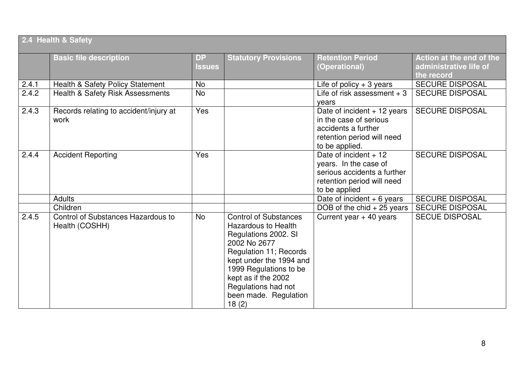|                    | 2.4 Health & Safety                                  |                            |                                                                                                                                                                                                                                                            |                                                                                                                               |                                                                  |  |  |
|--------------------|------------------------------------------------------|----------------------------|------------------------------------------------------------------------------------------------------------------------------------------------------------------------------------------------------------------------------------------------------------|-------------------------------------------------------------------------------------------------------------------------------|------------------------------------------------------------------|--|--|
|                    | <b>Basic file description</b>                        | <b>DP</b><br><b>Issues</b> | <b>Statutory Provisions</b>                                                                                                                                                                                                                                | <b>Retention Period</b><br>(Operational)                                                                                      | Action at the end of the<br>administrative life of<br>the record |  |  |
| 2.4.1              | Health & Safety Policy Statement                     | <b>No</b>                  |                                                                                                                                                                                                                                                            | Life of policy $+3$ years                                                                                                     | <b>SECURE DISPOSAL</b>                                           |  |  |
| 2.4.2              | <b>Health &amp; Safety Risk Assessments</b>          | <b>No</b>                  |                                                                                                                                                                                                                                                            | Life of risk assessment $+3$<br>years                                                                                         | <b>SECURE DISPOSAL</b>                                           |  |  |
| $\overline{2.4.3}$ | Records relating to accident/injury at<br>work       | Yes                        |                                                                                                                                                                                                                                                            | Date of incident + 12 years<br>in the case of serious<br>accidents a further<br>retention period will need<br>to be applied.  | <b>SECURE DISPOSAL</b>                                           |  |  |
| 2.4.4              | <b>Accident Reporting</b>                            | Yes                        |                                                                                                                                                                                                                                                            | Date of incident $+12$<br>years. In the case of<br>serious accidents a further<br>retention period will need<br>to be applied | <b>SECURE DISPOSAL</b>                                           |  |  |
|                    | <b>Adults</b>                                        |                            |                                                                                                                                                                                                                                                            | Date of incident $+6$ years                                                                                                   | <b>SECURE DISPOSAL</b>                                           |  |  |
|                    | Children                                             |                            |                                                                                                                                                                                                                                                            | DOB of the chid $+25$ years                                                                                                   | <b>SECURE DISPOSAL</b>                                           |  |  |
| 2.4.5              | Control of Substances Hazardous to<br>Health (COSHH) | <b>No</b>                  | Control of Substances<br><b>Hazardous to Health</b><br>Regulations 2002. SI<br>2002 No 2677<br>Regulation 11; Records<br>kept under the 1994 and<br>1999 Regulations to be<br>kept as if the 2002<br>Regulations had not<br>been made. Regulation<br>18(2) | Current year $+$ 40 years                                                                                                     | <b>SECUE DISPOSAL</b>                                            |  |  |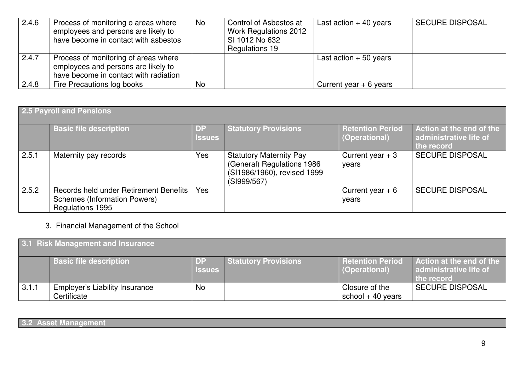| 2.4.6 | Process of monitoring o areas where<br>employees and persons are likely to<br>have become in contact with asbestos   | No.            | Control of Asbestos at<br>Work Regulations 2012<br>SI 1012 No 632<br>Regulations 19 | Last action $+$ 40 years | <b>SECURE DISPOSAL</b> |
|-------|----------------------------------------------------------------------------------------------------------------------|----------------|-------------------------------------------------------------------------------------|--------------------------|------------------------|
| 2.4.7 | Process of monitoring of areas where<br>employees and persons are likely to<br>have become in contact with radiation |                |                                                                                     | Last action $+50$ years  |                        |
| 2.4.8 | Fire Precautions log books                                                                                           | N <sub>o</sub> |                                                                                     | Current year $+ 6$ years |                        |

| <b>2.5 Payroll and Pensions</b> |                                                                                                   |                     |                                                                                                            |                                          |                                                                  |  |  |
|---------------------------------|---------------------------------------------------------------------------------------------------|---------------------|------------------------------------------------------------------------------------------------------------|------------------------------------------|------------------------------------------------------------------|--|--|
|                                 | <b>Basic file description</b>                                                                     | DP<br><b>Issues</b> | <b>Statutory Provisions</b>                                                                                | <b>Retention Period</b><br>(Operational) | Action at the end of the<br>administrative life of<br>the record |  |  |
| 2.5.1                           | Maternity pay records                                                                             | Yes                 | <b>Statutory Maternity Pay</b><br>(General) Regulations 1986<br>(SI1986/1960), revised 1999<br>(SI999/567) | Current year $+3$<br>years               | <b>SECURE DISPOSAL</b>                                           |  |  |
| 2.5.2                           | Records held under Retirement Benefits<br><b>Schemes (Information Powers)</b><br>Regulations 1995 | Yes                 |                                                                                                            | Current year $+6$<br>years               | <b>SECURE DISPOSAL</b>                                           |  |  |

## 3. Financial Management of the School

| 3.1 Risk Management and Insurance |                                                      |                      |                             |                                          |                                                                  |  |  |
|-----------------------------------|------------------------------------------------------|----------------------|-----------------------------|------------------------------------------|------------------------------------------------------------------|--|--|
|                                   | <b>Basic file description</b>                        | -DP<br><b>Issues</b> | <b>Statutory Provisions</b> | <b>Retention Period</b><br>(Operational) | Action at the end of the<br>administrative life of<br>the record |  |  |
| 3.1.1                             | <b>Employer's Liability Insurance</b><br>Certificate | No.                  |                             | Closure of the<br>school $+$ 40 years    | <b>SECURE DISPOSAL</b>                                           |  |  |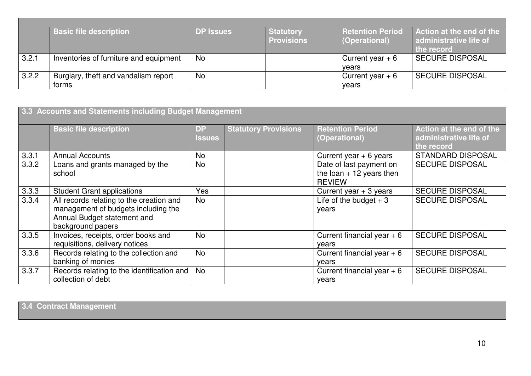|       | <b>Basic file description</b>          | <b>DP Issues</b> | <b>Statutory</b><br><b>Provisions</b> | <b>Retention Period</b><br>(Operational) | Action at the end of the<br>administrative life of<br>the record |
|-------|----------------------------------------|------------------|---------------------------------------|------------------------------------------|------------------------------------------------------------------|
| 3.2.1 | Inventories of furniture and equipment | No               |                                       | Current year $+6$                        | <b>SECURE DISPOSAL</b>                                           |
|       |                                        |                  |                                       | vears                                    |                                                                  |
| 3.2.2 | Burglary, theft and vandalism report   | No               |                                       | Current year $+6$                        | <b>SECURE DISPOSAL</b>                                           |
|       | forms                                  |                  |                                       | vears                                    |                                                                  |

| 3.3 Accounts and Statements including Budget Management |                                                                                                                                     |                            |                             |                                                                       |                                                                  |  |  |
|---------------------------------------------------------|-------------------------------------------------------------------------------------------------------------------------------------|----------------------------|-----------------------------|-----------------------------------------------------------------------|------------------------------------------------------------------|--|--|
|                                                         | <b>Basic file description</b>                                                                                                       | <b>DP</b><br><b>Issues</b> | <b>Statutory Provisions</b> | <b>Retention Period</b><br>(Operational)                              | Action at the end of the<br>administrative life of<br>the record |  |  |
| 3.3.1                                                   | <b>Annual Accounts</b>                                                                                                              | <b>No</b>                  |                             | Current year $+ 6$ years                                              | <b>STANDARD DISPOSAL</b>                                         |  |  |
| 3.3.2                                                   | Loans and grants managed by the<br>school                                                                                           | <b>No</b>                  |                             | Date of last payment on<br>the loan $+12$ years then<br><b>REVIEW</b> | <b>SECURE DISPOSAL</b>                                           |  |  |
| 3.3.3                                                   | <b>Student Grant applications</b>                                                                                                   | Yes                        |                             | Current year $+3$ years                                               | <b>SECURE DISPOSAL</b>                                           |  |  |
| 3.3.4                                                   | All records relating to the creation and<br>management of budgets including the<br>Annual Budget statement and<br>background papers | <b>No</b>                  |                             | Life of the budget $+3$<br>years                                      | <b>SECURE DISPOSAL</b>                                           |  |  |
| 3.3.5                                                   | Invoices, receipts, order books and<br>requisitions, delivery notices                                                               | <b>No</b>                  |                             | Current financial year $+6$<br>vears                                  | <b>SECURE DISPOSAL</b>                                           |  |  |
| 3.3.6                                                   | Records relating to the collection and<br>banking of monies                                                                         | <b>No</b>                  |                             | Current financial year $+6$<br>years                                  | <b>SECURE DISPOSAL</b>                                           |  |  |
| 3.3.7                                                   | Records relating to the identification and<br>collection of debt                                                                    | <b>No</b>                  |                             | Current financial year $+6$<br>years                                  | <b>SECURE DISPOSAL</b>                                           |  |  |

**3.4 Contract Management**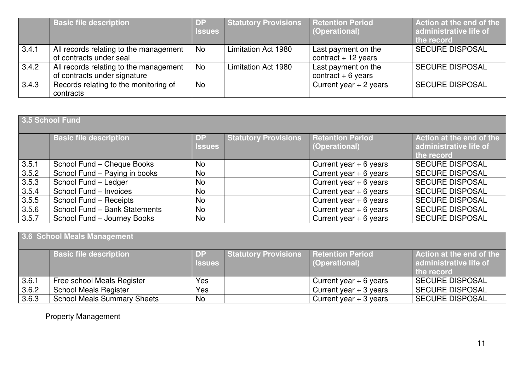|       | <b>Basic file description</b>                                          | <b>DP</b><br><b>Issues</b> | <b>Statutory Provisions   Retention Period</b> | (Operational)                               | Action at the end of the<br>administrative life of<br>the record |
|-------|------------------------------------------------------------------------|----------------------------|------------------------------------------------|---------------------------------------------|------------------------------------------------------------------|
| 3.4.1 | All records relating to the management<br>of contracts under seal      | <b>No</b>                  | Limitation Act 1980                            | Last payment on the<br>contract $+12$ years | <b>SECURE DISPOSAL</b>                                           |
| 3.4.2 | All records relating to the management<br>of contracts under signature | <b>No</b>                  | Limitation Act 1980                            | Last payment on the<br>contract $+6$ years  | <b>SECURE DISPOSAL</b>                                           |
| 3.4.3 | Records relating to the monitoring of<br>contracts                     | <b>No</b>                  |                                                | Current year $+2$ years                     | <b>SECURE DISPOSAL</b>                                           |

# **3.5 School Fund**

|       | <b>Basic file description</b> | DP.            | <b>Statutory Provisions</b> | <b>Retention Period</b>  | Action at the end of the |
|-------|-------------------------------|----------------|-----------------------------|--------------------------|--------------------------|
|       |                               | <b>Issues</b>  |                             | (Operational)            | administrative life of   |
|       |                               |                |                             |                          | the record               |
| 3.5.1 | School Fund - Cheque Books    | <b>No</b>      |                             | Current year $+ 6$ years | <b>SECURE DISPOSAL</b>   |
| 3.5.2 | School Fund - Paying in books | <b>No</b>      |                             | Current year $+ 6$ years | <b>SECURE DISPOSAL</b>   |
| 3.5.3 | School Fund - Ledger          | N <sub>o</sub> |                             | Current year $+ 6$ years | <b>SECURE DISPOSAL</b>   |
| 3.5.4 | School Fund - Invoices        | <b>No</b>      |                             | Current year $+ 6$ years | <b>SECURE DISPOSAL</b>   |
| 3.5.5 | School Fund - Receipts        | <b>No</b>      |                             | Current year $+ 6$ years | <b>SECURE DISPOSAL</b>   |
| 3.5.6 | School Fund - Bank Statements | N <sub>o</sub> |                             | Current year $+ 6$ years | <b>SECURE DISPOSAL</b>   |
| 3.5.7 | School Fund - Journey Books   | No             |                             | Current year $+ 6$ years | <b>SECURE DISPOSAL</b>   |

| 3.6 School Meals Management |                                    |                       |                             |                                          |                                                                  |  |  |
|-----------------------------|------------------------------------|-----------------------|-----------------------------|------------------------------------------|------------------------------------------------------------------|--|--|
|                             | <b>Basic file description</b>      | I DP<br><b>Issues</b> | <b>Statutory Provisions</b> | <b>Retention Period</b><br>(Operational) | Action at the end of the<br>administrative life of<br>the record |  |  |
| 3.6.1                       | Free school Meals Register         | Yes                   |                             | Current year $+ 6$ years                 | <b>SECURE DISPOSAL</b>                                           |  |  |
| 3.6.2                       | <b>School Meals Register</b>       | Yes                   |                             | Current year $+3$ years                  | <b>SECURE DISPOSAL</b>                                           |  |  |
| 3.6.3                       | <b>School Meals Summary Sheets</b> | No                    |                             | Current year $+3$ years                  | <b>SECURE DISPOSAL</b>                                           |  |  |

Property Management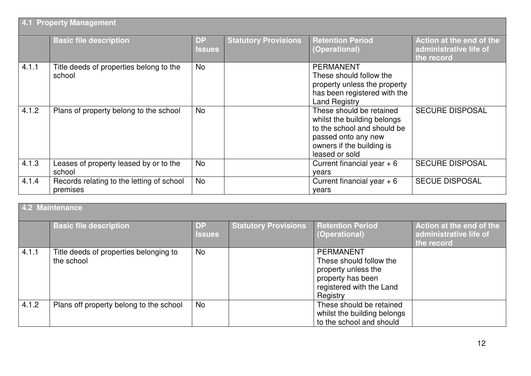| 4.1 Property Management |                                                       |                            |                             |                                                                                                                                                              |                                                                  |  |  |
|-------------------------|-------------------------------------------------------|----------------------------|-----------------------------|--------------------------------------------------------------------------------------------------------------------------------------------------------------|------------------------------------------------------------------|--|--|
|                         | <b>Basic file description</b>                         | <b>DP</b><br><b>Issues</b> | <b>Statutory Provisions</b> | <b>Retention Period</b><br>(Operational)                                                                                                                     | Action at the end of the<br>administrative life of<br>the record |  |  |
| 4.1.1                   | Title deeds of properties belong to the<br>school     | <b>No</b>                  |                             | <b>PERMANENT</b><br>These should follow the<br>property unless the property<br>has been registered with the<br><b>Land Registry</b>                          |                                                                  |  |  |
| 4.1.2                   | Plans of property belong to the school                | No                         |                             | These should be retained<br>whilst the building belongs<br>to the school and should be<br>passed onto any new<br>owners if the building is<br>leased or sold | <b>SECURE DISPOSAL</b>                                           |  |  |
| 4.1.3                   | Leases of property leased by or to the<br>school      | <b>No</b>                  |                             | Current financial year $+6$<br>years                                                                                                                         | <b>SECURE DISPOSAL</b>                                           |  |  |
| 4.1.4                   | Records relating to the letting of school<br>premises | <b>No</b>                  |                             | Current financial year $+6$<br>vears                                                                                                                         | <b>SECUE DISPOSAL</b>                                            |  |  |

| 4.2 Maintenance |                                                      |                            |                             |                                                                                                                                 |                                                                  |  |
|-----------------|------------------------------------------------------|----------------------------|-----------------------------|---------------------------------------------------------------------------------------------------------------------------------|------------------------------------------------------------------|--|
|                 | <b>Basic file description</b>                        | <b>DP</b><br><b>Issues</b> | <b>Statutory Provisions</b> | <b>Retention Period</b><br>(Operational)                                                                                        | Action at the end of the<br>administrative life of<br>the record |  |
| 4.1.1           | Title deeds of properties belonging to<br>the school | <b>No</b>                  |                             | <b>PERMANENT</b><br>These should follow the<br>property unless the<br>property has been<br>registered with the Land<br>Registry |                                                                  |  |
| 4.1.2           | Plans off property belong to the school              | No                         |                             | These should be retained<br>whilst the building belongs<br>to the school and should                                             |                                                                  |  |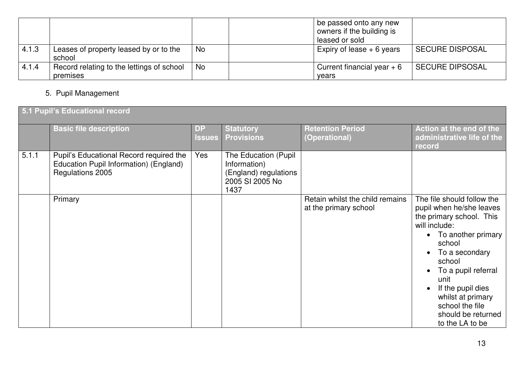|       |                                                       |    | be passed onto any new<br>owners if the building is<br>leased or sold |                        |
|-------|-------------------------------------------------------|----|-----------------------------------------------------------------------|------------------------|
| 4.1.3 | Leases of property leased by or to the<br>school      | No | Expiry of lease $+6$ years                                            | <b>SECURE DISPOSAL</b> |
| 4.1.4 | Record relating to the lettings of school<br>premises | No | Current financial year $+6$<br>vears                                  | <b>SECURE DIPSOSAL</b> |

## 5. Pupil Management

|       | 5.1 Pupil's Educational record                                                                        |                            |                                                                                          |                                                          |                                                                                                                                                                                                                                                                                                        |  |  |  |
|-------|-------------------------------------------------------------------------------------------------------|----------------------------|------------------------------------------------------------------------------------------|----------------------------------------------------------|--------------------------------------------------------------------------------------------------------------------------------------------------------------------------------------------------------------------------------------------------------------------------------------------------------|--|--|--|
|       | <b>Basic file description</b>                                                                         | <b>DP</b><br><b>Issues</b> | <b>Statutory</b><br><b>Provisions</b>                                                    | <b>Retention Period</b><br>(Operational)                 | Action at the end of the<br>administrative life of the<br>record                                                                                                                                                                                                                                       |  |  |  |
| 5.1.1 | Pupil's Educational Record required the<br>Education Pupil Information) (England)<br>Regulations 2005 | Yes                        | The Education (Pupil<br>Information)<br>(England) regulations<br>2005 SI 2005 No<br>1437 |                                                          |                                                                                                                                                                                                                                                                                                        |  |  |  |
|       | Primary                                                                                               |                            |                                                                                          | Retain whilst the child remains<br>at the primary school | The file should follow the<br>pupil when he/she leaves<br>the primary school. This<br>will include:<br>• To another primary<br>school<br>To a secondary<br>school<br>To a pupil referral<br>unit<br>If the pupil dies<br>whilst at primary<br>school the file<br>should be returned<br>to the LA to be |  |  |  |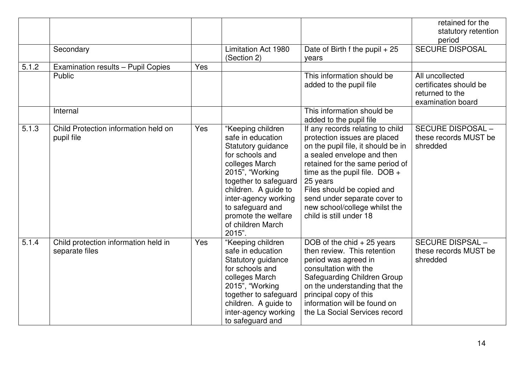|       | Secondary                                              |     | Limitation Act 1980<br>(Section 2)                                                                                                                                                                                                                                      | Date of Birth f the pupil $+25$<br>years                                                                                                                                                                                                                                                                                                         | retained for the<br>statutory retention<br>period<br><b>SECURE DISPOSAL</b>       |
|-------|--------------------------------------------------------|-----|-------------------------------------------------------------------------------------------------------------------------------------------------------------------------------------------------------------------------------------------------------------------------|--------------------------------------------------------------------------------------------------------------------------------------------------------------------------------------------------------------------------------------------------------------------------------------------------------------------------------------------------|-----------------------------------------------------------------------------------|
| 5.1.2 | Examination results - Pupil Copies                     | Yes |                                                                                                                                                                                                                                                                         |                                                                                                                                                                                                                                                                                                                                                  |                                                                                   |
|       | Public                                                 |     |                                                                                                                                                                                                                                                                         | This information should be<br>added to the pupil file                                                                                                                                                                                                                                                                                            | All uncollected<br>certificates should be<br>returned to the<br>examination board |
|       | Internal                                               |     |                                                                                                                                                                                                                                                                         | This information should be<br>added to the pupil file                                                                                                                                                                                                                                                                                            |                                                                                   |
| 5.1.3 | Child Protection information held on<br>pupil file     | Yes | "Keeping children<br>safe in education<br>Statutory guidance<br>for schools and<br>colleges March<br>2015", "Working<br>together to safeguard<br>children. A guide to<br>inter-agency working<br>to safeguard and<br>promote the welfare<br>of children March<br>2015". | If any records relating to child<br>protection issues are placed<br>on the pupil file, it should be in<br>a sealed envelope and then<br>retained for the same period of<br>time as the pupil file. $DOB +$<br>25 years<br>Files should be copied and<br>send under separate cover to<br>new school/college whilst the<br>child is still under 18 | <b>SECURE DISPOSAL -</b><br>these records MUST be<br>shredded                     |
| 5.1.4 | Child protection information held in<br>separate files | Yes | "Keeping children<br>safe in education<br>Statutory guidance<br>for schools and<br>colleges March<br>2015", "Working<br>together to safeguard<br>children. A guide to<br>inter-agency working<br>to safeguard and                                                       | DOB of the chid $+25$ years<br>then review. This retention<br>period was agreed in<br>consultation with the<br><b>Safeguarding Children Group</b><br>on the understanding that the<br>principal copy of this<br>information will be found on<br>the La Social Services record                                                                    | <b>SECURE DISPSAL -</b><br>these records MUST be<br>shredded                      |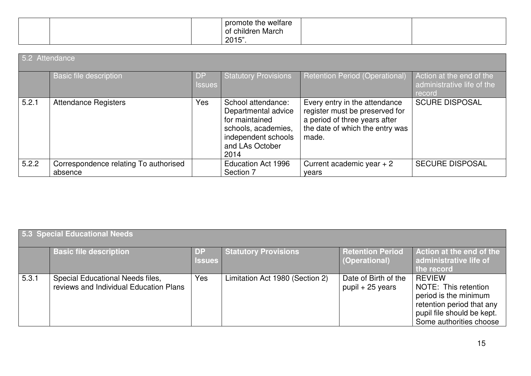|  | promote the welfare<br>. .<br>March<br>children<br>Οf |  |
|--|-------------------------------------------------------|--|
|  | 2015"                                                 |  |

| 5.2 Attendance |                                                  |                            |                                                                                                                                      |                                                                                                                                              |                                                                  |  |
|----------------|--------------------------------------------------|----------------------------|--------------------------------------------------------------------------------------------------------------------------------------|----------------------------------------------------------------------------------------------------------------------------------------------|------------------------------------------------------------------|--|
|                | <b>Basic file description</b>                    | <b>DP</b><br><b>Issues</b> | <b>Statutory Provisions</b>                                                                                                          | Retention Period (Operational)                                                                                                               | Action at the end of the<br>administrative life of the<br>record |  |
| 5.2.1          | <b>Attendance Registers</b>                      | Yes                        | School attendance:<br>Departmental advice<br>for maintained<br>schools, academies,<br>independent schools<br>and LAs October<br>2014 | Every entry in the attendance<br>register must be preserved for<br>a period of three years after<br>the date of which the entry was<br>made. | <b>SCURE DISPOSAL</b>                                            |  |
| 5.2.2          | Correspondence relating To authorised<br>absence |                            | <b>Education Act 1996</b><br>Section 7                                                                                               | Current academic year $+2$<br>years                                                                                                          | <b>SECURE DISPOSAL</b>                                           |  |

| 5.3 Special Educational Needs |                                                                            |               |                                 |                                            |                                                                                                                                                      |  |  |
|-------------------------------|----------------------------------------------------------------------------|---------------|---------------------------------|--------------------------------------------|------------------------------------------------------------------------------------------------------------------------------------------------------|--|--|
|                               | <b>Basic file description</b>                                              | <b>Issues</b> | <b>Statutory Provisions</b>     | <b>Retention Period</b><br>(Operational)   | Action at the end of the<br>administrative life of<br>the record                                                                                     |  |  |
| 5.3.1                         | Special Educational Needs files,<br>reviews and Individual Education Plans | Yes           | Limitation Act 1980 (Section 2) | Date of Birth of the<br>$pupil + 25$ years | <b>REVIEW</b><br>NOTE: This retention<br>period is the minimum<br>retention period that any<br>pupil file should be kept.<br>Some authorities choose |  |  |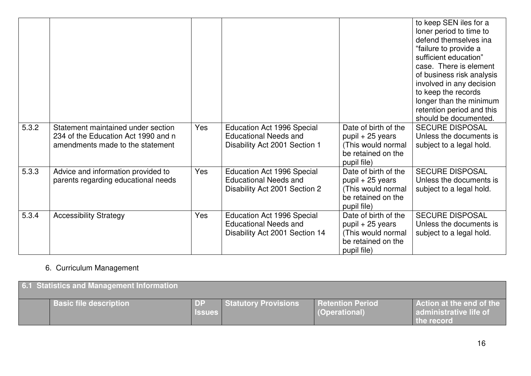|       |                                                                                                               |     |                                                                                                     |                                                                                                      | to keep SEN iles for a<br>loner period to time to<br>defend themselves ina<br>"failure to provide a<br>sufficient education"<br>case. There is element<br>of business risk analysis<br>involved in any decision<br>to keep the records<br>longer than the minimum<br>retention period and this<br>should be documented. |
|-------|---------------------------------------------------------------------------------------------------------------|-----|-----------------------------------------------------------------------------------------------------|------------------------------------------------------------------------------------------------------|-------------------------------------------------------------------------------------------------------------------------------------------------------------------------------------------------------------------------------------------------------------------------------------------------------------------------|
| 5.3.2 | Statement maintained under section<br>234 of the Education Act 1990 and n<br>amendments made to the statement | Yes | Education Act 1996 Special<br><b>Educational Needs and</b><br>Disability Act 2001 Section 1         | Date of birth of the<br>pupil $+25$ years<br>This would normal<br>be retained on the<br>pupil file)  | <b>SECURE DISPOSAL</b><br>Unless the documents is<br>subject to a legal hold.                                                                                                                                                                                                                                           |
| 5.3.3 | Advice and information provided to<br>parents regarding educational needs                                     | Yes | <b>Education Act 1996 Special</b><br><b>Educational Needs and</b><br>Disability Act 2001 Section 2  | Date of birth of the<br>pupil $+25$ years<br>This would normal<br>be retained on the<br>pupil file)  | <b>SECURE DISPOSAL</b><br>Unless the documents is<br>subject to a legal hold.                                                                                                                                                                                                                                           |
| 5.3.4 | <b>Accessibility Strategy</b>                                                                                 | Yes | <b>Education Act 1996 Special</b><br><b>Educational Needs and</b><br>Disability Act 2001 Section 14 | Date of birth of the<br>$pupil + 25$ years<br>This would normal<br>be retained on the<br>pupil file) | <b>SECURE DISPOSAL</b><br>Unless the documents is<br>subject to a legal hold.                                                                                                                                                                                                                                           |

# 6. Curriculum Management

| 6.1 Statistics and Management Information |               |                      |                                          |                                                                  |
|-------------------------------------------|---------------|----------------------|------------------------------------------|------------------------------------------------------------------|
| <b>Basic file description</b>             | <b>Issues</b> | Statutory Provisions | <b>Retention Period</b><br>(Operational) | Action at the end of the<br>administrative life of<br>the record |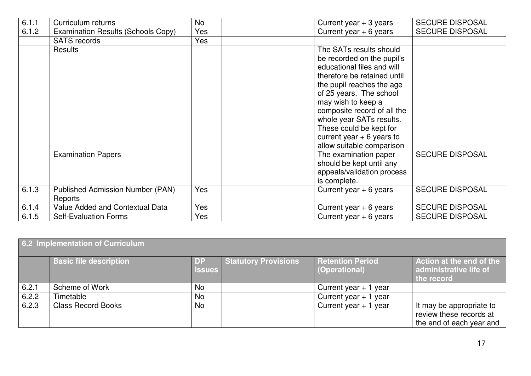| 6.1.1 | Curriculum returns                                 | <b>No</b>  | Current year $+3$ years                               | <b>SECURE DISPOSAL</b> |
|-------|----------------------------------------------------|------------|-------------------------------------------------------|------------------------|
| 6.1.2 | Examination Results (Schools Copy)                 | Yes        | Current year $+ 6$ years                              | <b>SECURE DISPOSAL</b> |
|       | <b>SATS</b> records                                | Yes        |                                                       |                        |
|       | Results                                            |            | The SATs results should<br>be recorded on the pupil's |                        |
|       |                                                    |            | educational files and will                            |                        |
|       |                                                    |            | therefore be retained until                           |                        |
|       |                                                    |            | the pupil reaches the age                             |                        |
|       |                                                    |            | of 25 years. The school                               |                        |
|       |                                                    |            | may wish to keep a                                    |                        |
|       |                                                    |            | composite record of all the                           |                        |
|       |                                                    |            | whole year SATs results.                              |                        |
|       |                                                    |            | These could be kept for                               |                        |
|       |                                                    |            | current year $+ 6$ years to                           |                        |
|       |                                                    |            | allow suitable comparison                             |                        |
|       | <b>Examination Papers</b>                          |            | The examination paper                                 | <b>SECURE DISPOSAL</b> |
|       |                                                    |            | should be kept until any                              |                        |
|       |                                                    |            | appeals/validation process                            |                        |
|       |                                                    |            | is complete.                                          |                        |
| 6.1.3 | <b>Published Admission Number (PAN)</b><br>Reports | <b>Yes</b> | Current year $+ 6$ years                              | <b>SECURE DISPOSAL</b> |
| 6.1.4 | Value Added and Contextual Data                    | Yes        | Current year $+ 6$ years                              | <b>SECURE DISPOSAL</b> |
| 6.1.5 | <b>Self-Evaluation Forms</b>                       | Yes        | Current year $+ 6$ years                              | <b>SECURE DISPOSAL</b> |

| 6.2 Implementation of Curriculum |                               |                            |                      |                                          |                                                                                 |  |
|----------------------------------|-------------------------------|----------------------------|----------------------|------------------------------------------|---------------------------------------------------------------------------------|--|
|                                  | <b>Basic file description</b> | <b>DP</b><br><b>Issues</b> | Statutory Provisions | <b>Retention Period</b><br>(Operational) | Action at the end of the<br>administrative life of<br>the record                |  |
| 6.2.1                            | Scheme of Work                | No                         |                      | Current year $+1$<br>year                |                                                                                 |  |
| 6.2.2                            | Timetable                     | No                         |                      | Current year $+1$<br>year                |                                                                                 |  |
| 6.2.3                            | <b>Class Record Books</b>     | No                         |                      | Current year $+1$ year                   | It may be appropriate to<br>review these records at<br>the end of each year and |  |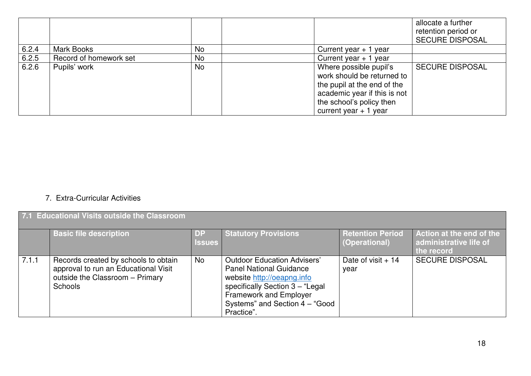|       |                        |           |                                                                                                                                                                           | allocate a further<br>retention period or<br><b>SECURE DISPOSAL</b> |
|-------|------------------------|-----------|---------------------------------------------------------------------------------------------------------------------------------------------------------------------------|---------------------------------------------------------------------|
| 6.2.4 | <b>Mark Books</b>      | <b>No</b> | Current year $+1$ year                                                                                                                                                    |                                                                     |
| 6.2.5 | Record of homework set | <b>No</b> | Current year $+1$ year                                                                                                                                                    |                                                                     |
| 6.2.6 | Pupils' work           | No        | Where possible pupil's<br>work should be returned to<br>the pupil at the end of the<br>academic year if this is not<br>the school's policy then<br>current year $+1$ year | <b>SECURE DISPOSAL</b>                                              |

#### 7. Extra-Curricular Activities

#### **7.1 Educational Visits outside the Classroom**

|       | <b>Basic file description</b>                                                                                              | <b>Issues</b> | <b>Statutory Provisions</b>                                                                                                                                                                                            | <b>Retention Period</b><br>(Operational) | Action at the end of the<br>administrative life of<br>the record |
|-------|----------------------------------------------------------------------------------------------------------------------------|---------------|------------------------------------------------------------------------------------------------------------------------------------------------------------------------------------------------------------------------|------------------------------------------|------------------------------------------------------------------|
| 7.1.1 | Records created by schools to obtain<br>approval to run an Educational Visit<br>outside the Classroom - Primary<br>Schools | No            | <b>Outdoor Education Advisers'</b><br><b>Panel National Guidance</b><br>website http://oeapng.info<br>specifically Section 3 - "Legal<br><b>Framework and Employer</b><br>Systems" and Section 4 - "Good<br>Practice". | Date of visit $+14$<br>year              | <b>SECURE DISPOSAL</b>                                           |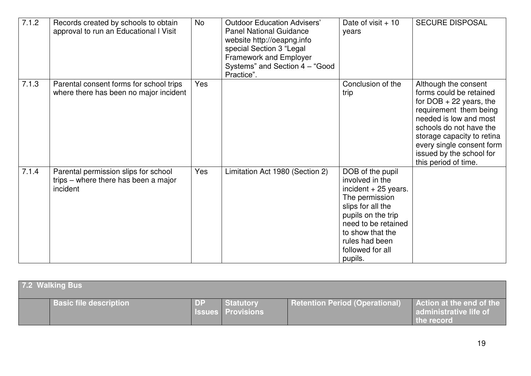| 7.1.2 | Records created by schools to obtain<br>approval to run an Educational I Visit           | <b>No</b> | <b>Outdoor Education Advisers'</b><br><b>Panel National Guidance</b><br>website http://oeapng.info<br>special Section 3 "Legal<br>Framework and Employer<br>Systems" and Section 4 - "Good<br>Practice". | Date of visit $+10$<br>years                                                                                                                                                                                          | <b>SECURE DISPOSAL</b>                                                                                                                                                                                                                                                     |
|-------|------------------------------------------------------------------------------------------|-----------|----------------------------------------------------------------------------------------------------------------------------------------------------------------------------------------------------------|-----------------------------------------------------------------------------------------------------------------------------------------------------------------------------------------------------------------------|----------------------------------------------------------------------------------------------------------------------------------------------------------------------------------------------------------------------------------------------------------------------------|
| 7.1.3 | Parental consent forms for school trips<br>where there has been no major incident        | Yes       |                                                                                                                                                                                                          | Conclusion of the<br>trip                                                                                                                                                                                             | Although the consent<br>forms could be retained<br>for $DOB + 22$ years, the<br>requirement them being<br>needed is low and most<br>schools do not have the<br>storage capacity to retina<br>every single consent form<br>issued by the school for<br>this period of time. |
| 7.1.4 | Parental permission slips for school<br>trips – where there has been a major<br>incident | Yes       | Limitation Act 1980 (Section 2)                                                                                                                                                                          | DOB of the pupil<br>involved in the<br>incident $+25$ years.<br>The permission<br>slips for all the<br>pupils on the trip<br>need to be retained<br>to show that the<br>rules had been<br>followed for all<br>pupils. |                                                                                                                                                                                                                                                                            |

| <b>7.2 Walking Bus</b>        |           |                                       |                                       |                                                                  |
|-------------------------------|-----------|---------------------------------------|---------------------------------------|------------------------------------------------------------------|
| <b>Basic file description</b> | <b>DP</b> | Statutory<br><b>Issues Provisions</b> | <b>Retention Period (Operational)</b> | Action at the end of the<br>administrative life of<br>the record |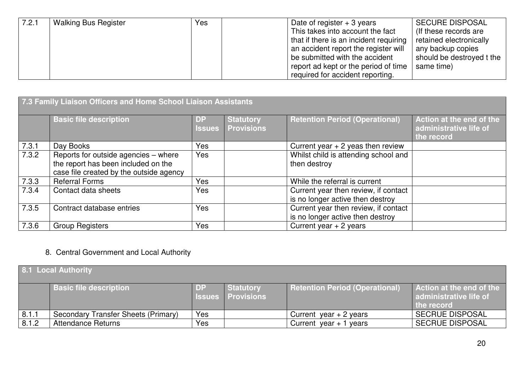| 7.2.1 | <b>Walking Bus Register</b> | Yes | <b>SECURE DISPOSAL</b><br>Date of register $+3$ years<br>This takes into account the fact<br>(If these records are) |
|-------|-----------------------------|-----|---------------------------------------------------------------------------------------------------------------------|
|       |                             |     | that if there is an incident requiring<br>retained electronically                                                   |
|       |                             |     | an accident report the register will<br>any backup copies                                                           |
|       |                             |     | should be destroyed t the<br>be submitted with the accident                                                         |
|       |                             |     | report ad kept or the period of time<br>same time)                                                                  |
|       |                             |     | required for accident reporting.                                                                                    |

| 7.3 Family Liaison Officers and Home School Liaison Assistants |                                                                                                                        |                            |                                       |                                                                          |                                                                  |
|----------------------------------------------------------------|------------------------------------------------------------------------------------------------------------------------|----------------------------|---------------------------------------|--------------------------------------------------------------------------|------------------------------------------------------------------|
|                                                                | <b>Basic file description</b>                                                                                          | <b>DP</b><br><b>Issues</b> | <b>Statutory</b><br><b>Provisions</b> | <b>Retention Period (Operational)</b>                                    | Action at the end of the<br>administrative life of<br>the record |
| 7.3.1                                                          | Day Books                                                                                                              | Yes                        |                                       | Current year $+2$ yeas then review                                       |                                                                  |
| 7.3.2                                                          | Reports for outside agencies - where<br>the report has been included on the<br>case file created by the outside agency | <b>Yes</b>                 |                                       | Whilst child is attending school and<br>then destroy                     |                                                                  |
| 7.3.3                                                          | <b>Referral Forms</b>                                                                                                  | Yes                        |                                       | While the referral is current                                            |                                                                  |
| 7.3.4                                                          | Contact data sheets                                                                                                    | Yes                        |                                       | Current year then review, if contact<br>is no longer active then destroy |                                                                  |
| 7.3.5                                                          | Contract database entries                                                                                              | <b>Yes</b>                 |                                       | Current year then review, if contact<br>is no longer active then destroy |                                                                  |
| 7.3.6                                                          | <b>Group Registers</b>                                                                                                 | Yes                        |                                       | Current year $+2$ years                                                  |                                                                  |

## 8. Central Government and Local Authority

| 8.1 Local Authority |                                     |           |                                       |                                |                                                                         |
|---------------------|-------------------------------------|-----------|---------------------------------------|--------------------------------|-------------------------------------------------------------------------|
|                     | <b>Basic file description</b>       | <b>DP</b> | Statutory<br><b>Issues Provisions</b> | Retention Period (Operational) | <b>Action at the end of the</b><br>administrative life of<br>the record |
| 8.1.1               | Secondary Transfer Sheets (Primary) | Yes       |                                       | Current year $+2$ years        | <b>SECRUE DISPOSAL</b>                                                  |
| 8.1.2               | <b>Attendance Returns</b>           | Yes       |                                       | Current year $+1$ years        | <b>SECRUE DISPOSAL</b>                                                  |